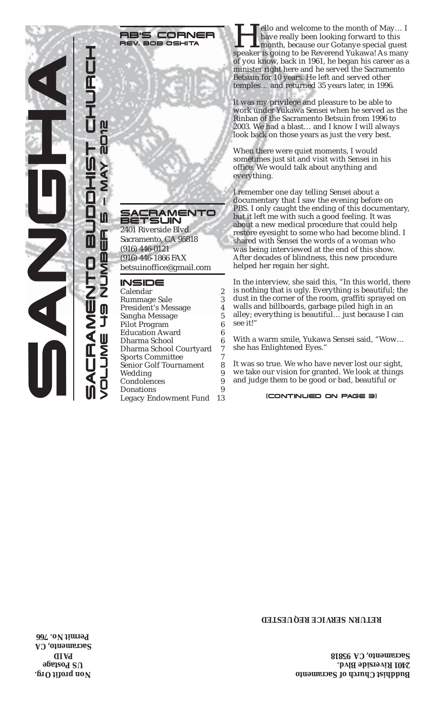

**RB'S CORNER**<br>REV. BOB OSHITA

SACRAMENTO BETSUIN 2401 Riverside Blvd.

Sacramento, CA 95818 (916) 446-0121 (916) 446-1866 FAX betsuinoffice@gmail.com

#### INSIDE

| Calendar                      | 2  |
|-------------------------------|----|
| Rummage Sale                  | 3  |
| <b>President's Message</b>    | 4  |
| Sangha Message                | 5  |
| <b>Pilot Program</b>          | 6  |
| <b>Education Award</b>        | 6  |
| Dharma School                 | 6  |
| Dharma School Courtyard       | 7  |
| <b>Sports Committee</b>       |    |
| <b>Senior Golf Tournament</b> | 8  |
| Wedding                       | 9  |
| Condolences                   | 9  |
| Donations                     | 9  |
| Legacy Endowment Fund         | 13 |
|                               |    |

RE'S CORNER Hello and welcome to the month of May... I<br>REV. BOB OSHITA Hello and Mercelly been looking forward to this<br>speaker is going to be Reverend Yukawa! As many have really been looking forward to this month, because our Gotanye special guest of you know, back in 1961, he began his career as a minister right here and he served the Sacramento Betsuin for 10 years. He left and served other temples… and returned 35 years later, in 1996.

> It was my privilege and pleasure to be able to work under Yukawa Sensei when he served as the Rinban of the Sacramento Betsuin from 1996 to 2003. We had a blast… and I know I will always look back on those years as just the very best.

When there were quiet moments, I would sometimes just sit and visit with Sensei in his office. We would talk about anything and everything.

I remember one day telling Sensei about a documentary that I saw the evening before on PBS. I only caught the ending of this documentary, but it left me with such a good feeling. It was about a new medical procedure that could help restore eyesight to some who had become blind. I shared with Sensei the words of a woman who was being interviewed at the end of this show. After decades of blindness, this new procedure helped her regain her sight.

In the interview, she said this, "In this world, there is nothing that is ugly. Everything is beautiful; the dust in the corner of the room, graffiti sprayed on walls and billboards, garbage piled high in an alley; everything is beautiful… just because I can see it!"

With a warm smile, Yukawa Sensei said, "Wow… she has Enlightened Eyes."

It was so true. We who have never lost our sight, we take our vision for granted. We look at things and judge them to be good or bad, beautiful or

#### $\tilde{B}_3$  (CONTINUED ON PAGE 3)

#### **RETURN SERVICE REQUESTED**

**Buddhist Church of Sacramento 2401 Riverside Blvd. Sacramento, CA 95818**

**Non profit Org. US Postage AID P Sacramento, CA Permit No. 766**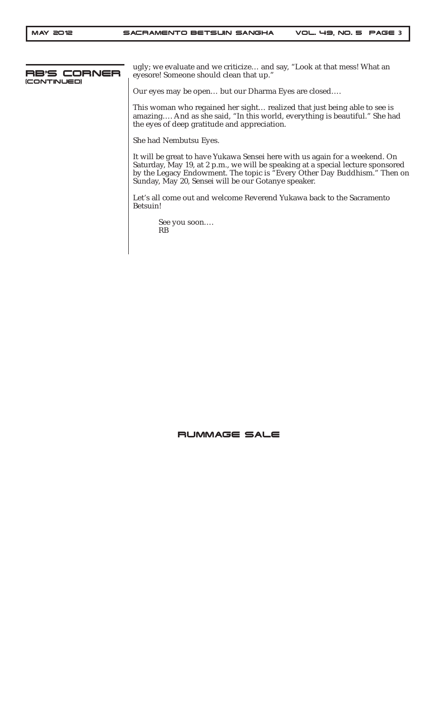

ugly; we evaluate and we criticize… and say, "Look at that mess! What an eyesore! Someone should clean that up."

Our eyes may be open… but our Dharma Eyes are closed….

This woman who regained her sight… realized that just being able to see is amazing…. And as she said, "In this world, everything is beautiful." She had the eyes of deep gratitude and appreciation.

She had Nembutsu Eyes.

It will be great to have Yukawa Sensei here with us again for a weekend. On Saturday, May 19, at 2 p.m., we will be speaking at a special lecture sponsored by the Legacy Endowment. The topic is "Every Other Day Buddhism." Then on Sunday, May 20, Sensei will be our Gotanye speaker.

Let's all come out and welcome Reverend Yukawa back to the Sacramento Betsuin!

```
See you soon….
RB
```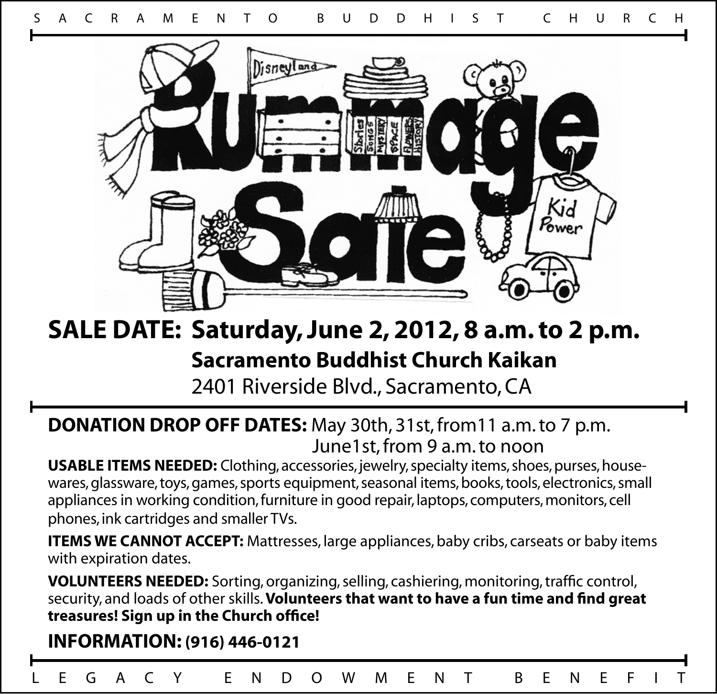

## **SALE DATE: Saturday, June 2, 2012, 8 a.m. to 2 p.m. Sacramento Buddhist Church Kaikan**

2401 Riverside Blvd., Sacramento, CA

### **DONATION DROP OFF DATES:** May 30th, 31st, from11 a.m. to 7 p.m. June1st, from 9 a.m. to noon

**USABLE ITEMS NEEDED:** Clothing, accessories, jewelry, specialty items, shoes, purses, housewares, glassware, toys, games, sports equipment, seasonal items, books, tools, electronics, small appliances in working condition, furniture in good repair, laptops, computers, monitors, cell phones, ink cartridges and smaller TVs.

**ITEMS WE CANNOT ACCEPT:** Mattresses, large appliances, baby cribs, carseats or baby items with expiration dates.

**VOLUNTEERS NEEDED:** Sorting, organizing, selling, cashiering, monitoring, traffic control, security, and loads of other skills. **Volunteers that want to have a fun time and find great treasures! Sign up in the Church office!** 

### **INFORMATION: (916) 446-0121**

L E G A C Y E N D O W M E N T B E N E F I T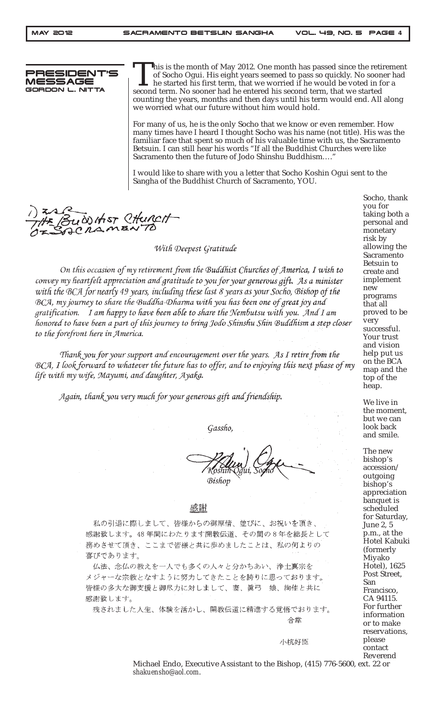5IDE MESSAGE GORDON L. NITTA

This is the month of May 2012. One month has passed since the retirement of Socho Ogui. His eight years seemed to pass so quickly. No sooner had he started his first term, that we worried if he would be voted in for a second term. No sooner had he entered his second term, that we started counting the years, months and then days until his term would end. All along we worried what our future without him would hold.

For many of us, he is the only Socho that we know or even remember. How many times have I heard I thought Socho was his name (not title). His was the familiar face that spent so much of his valuable time with us, the Sacramento Betsuin. I can still hear his words "If all the Buddhist Churches were like Sacramento then the future of Jodo Shinshu Buddhism…."

I would like to share with you a letter that Socho Koshin Ogui sent to the Sangha of the Buddhist Church of Sacramento, YOU.

WHST CHURCH

With Deepest Gratitude

On this occasion of my retirement from the Buddhist Churches of America, I wish to convey my heartfelt appreciation and gratitude to you for your generous gift. As a minister with the BCA for nearly 49 years, including these last 8 years as your Socho, Bishop of the BCA, my journey to share the Buddha-Dharma with you has been one of great joy and gratification. I am happy to have been able to share the Nembutsu with you. And I am honored to have been a part of this journey to bring Jodo Shinshu Shin Buddhism a step closer to the forefront here in America.

Thank you for your support and encouragement over the years. As I retire from the BCA, I look forward to whatever the future has to offer, and to enjoying this next phase of my life with my wife, Mayumi, and daughter, Ayaka.

Again, thank you very much for your generous gift and friendship.

Gassho,

Bishop

#### 感謝

私の引退に際しまして、皆様からの御厚情、並びに、お祝いを頂き、 感謝致します。48年間にわたります開教伝道、その間の8年を総長として 務めさせて頂き、ここまで皆様と共に歩めましたことは、私の何よりの 喜びであります。

仏法、念仏の教えを一人でも多くの人々と分かちあい、浄土真宗を メジャーな宗教となすように努力してきたことを誇りに思っております。 皆様の多大な御支援と御尽力に対しまして、妻、眞弓 娘、絢佳と共に 感謝致します。

残されました人生、体験を活かし、開教伝道に精進する覚悟でおります。 合掌

小杭好臣

Socho, thank you for taking both a personal and monetary risk by allowing the Sacramento Betsuin to create and implement new programs that all proved to be very successful. Your trust and vision help put us on the BCA map and the

We live in the moment, but we can look back and smile.

top of the heap.

The new bishop's accession/ outgoing bishop's appreciation banquet is scheduled for Saturday, June 2, 5 p.m., at the Hotel Kabuki (formerly Miyako Hotel), 1625 Post Street, San Francisco, CA 94115. For further information or to make reservations, please contact Reverend

Michael Endo, Executive Assistant to the Bishop, (415) 776-5600, ext. 22 or *shakuensho@aol.com*.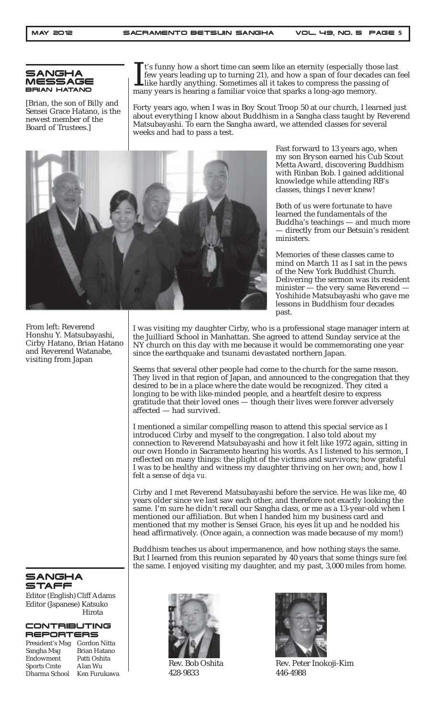

From left: Reverend Honshu Y. Matsubayashi, Cirby Hatano, Brian Hatano and Reverend Watanabe, visiting from Japan

[Brian, the son of Billy and Sensei Grace Hatano, is the newest member of the Board of Trustees.]

It's funny how a short time can seem like an eternity (especially tho few years leading up to turning 21), and how a span of four decade like hardly anything. Sometimes all it takes to compress the passing many years is he t's funny how a short time can seem like an eternity (especially those last few years leading up to turning 21), and how a span of four decades can feel like hardly anything. Sometimes all it takes to compress the passing of

Forty years ago, when I was in Boy Scout Troop 50 at our church, I learned just about everything I know about Buddhism in a Sangha class taught by Reverend Matsubayashi. To earn the Sangha award, we attended classes for several weeks and had to pass a test.



Fast forward to 13 years ago, when my son Bryson earned his Cub Scout Metta Award, discovering Buddhism with Rinban Bob. I gained additional knowledge while attending RB's classes, things I never knew!

Both of us were fortunate to have learned the fundamentals of the Buddha's teachings — and much more directly from our Betsuin's resident ministers.

Memories of these classes came to mind on March 11 as I sat in the pews of the New York Buddhist Church. Delivering the sermon was its resident minister — the very same Reverend — Yoshihide Matsubayashi who gave me lessons in Buddhism four decades past.

I was visiting my daughter Cirby, who is a professional stage manager intern at the Juilliard School in Manhattan. She agreed to attend Sunday service at the NY church on this day with me because it would be commemorating one year since the earthquake and tsunami devastated northern Japan.

Seems that several other people had come to the church for the same reason. They lived in that region of Japan, and announced to the congregation that they desired to be in a place where the date would be recognized. They cited a longing to be with like-minded people, and a heartfelt desire to express gratitude that their loved ones — though their lives were forever adversely affected — had survived.

I mentioned a similar compelling reason to attend this special service as I introduced Cirby and myself to the congregation. I also told about my connection to Reverend Matsubayashi and how it felt like 1972 again, sitting in our own Hondo in Sacramento hearing his words. As I listened to his sermon, I reflected on many things: the plight of the victims and survivors; how grateful I was to be healthy and witness my daughter thriving on her own; and, how I felt a sense of *deja vu.*

Cirby and I met Reverend Matsubayashi before the service. He was like me, 40 years older since we last saw each other, and therefore not exactly looking the same. I'm sure he didn't recall our Sangha class, or me as a 13-year-old when I mentioned our affiliation. But when I handed him my business card and mentioned that my mother is Sensei Grace, his eyes lit up and he nodded his head affirmatively. (Once again, a connection was made because of my mom!)

Buddhism teaches us about impermanence, and how nothing stays the same. But I learned from this reunion separated by 40 years that some things sure *feel* the same. I enjoyed visiting my daughter, and my past, 3,000 miles from home.

#### **SANGHA STAFF**

Editor (English) Cliff Adams Editor (Japanese) Katsuko Hirota

#### CONTRIBUTING REPORTERS

President's Msg Gordon Nitta Sangha Msg<br>Endowment Patti Oshita **Endowment** Sports Cmte Alan Wu<br>Dharma School Ken Furukawa Dharma School



Rev. Bob Oshita 428-9833



Rev. Peter Inokoji-Kim 446-4988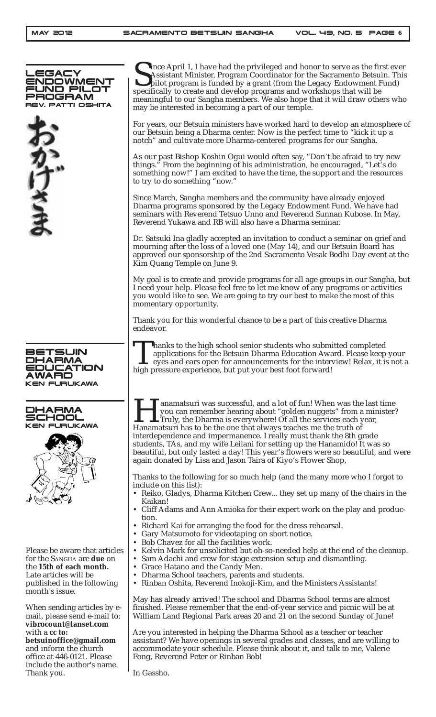| LEGACY<br><b>ENDOWMENT</b><br>FUND PILOT<br>PROGRAM<br>REV. PATTI OSHITA<br>ひけさま | Tince April 1, I have had the privileged and honor to serve as the first ever<br>Assistant Minister, Program Coordinator for the Sacramento Betsuin. This<br>pilot program is funded by a grant (from the Legacy Endowment Fund)<br>specifically to create and develop programs and workshops that will be<br>meaningful to our Sangha members. We also hope that it will draw others who<br>may be interested in becoming a part of our temple.<br>For years, our Betsuin ministers have worked hard to develop an atmosphere of<br>our Betsuin being a Dharma center. Now is the perfect time to "kick it up a<br>notch" and cultivate more Dharma-centered programs for our Sangha.<br>As our past Bishop Koshin Ogui would often say, "Don't be afraid to try new<br>things." From the beginning of his administration, he encouraged, "Let's do<br>something now!" I am excited to have the time, the support and the resources<br>to try to do something "now."<br>Since March, Sangha members and the community have already enjoyed<br>Dharma programs sponsored by the Legacy Endowment Fund. We have had<br>seminars with Reverend Tetsuo Unno and Reverend Sunnan Kubose. In May,<br>Reverend Yukawa and RB will also have a Dharma seminar.<br>Dr. Satsuki Ina gladly accepted an invitation to conduct a seminar on grief and<br>mourning after the loss of a loved one (May 14), and our Betsuin Board has<br>approved our sponsorship of the 2nd Sacramento Vesak Bodhi Day event at the<br>Kim Quang Temple on June 9.<br>My goal is to create and provide programs for all age groups in our Sangha, but<br>I need your help. Please feel free to let me know of any programs or activities<br>you would like to see. We are going to try our best to make the most of this<br>momentary opportunity.<br>Thank you for this wonderful chance to be a part of this creative Dharma |
|----------------------------------------------------------------------------------|----------------------------------------------------------------------------------------------------------------------------------------------------------------------------------------------------------------------------------------------------------------------------------------------------------------------------------------------------------------------------------------------------------------------------------------------------------------------------------------------------------------------------------------------------------------------------------------------------------------------------------------------------------------------------------------------------------------------------------------------------------------------------------------------------------------------------------------------------------------------------------------------------------------------------------------------------------------------------------------------------------------------------------------------------------------------------------------------------------------------------------------------------------------------------------------------------------------------------------------------------------------------------------------------------------------------------------------------------------------------------------------------------------------------------------------------------------------------------------------------------------------------------------------------------------------------------------------------------------------------------------------------------------------------------------------------------------------------------------------------------------------------------------------------------------------------------------------------------------------------------------------------------|
| BETSUIN                                                                          | endeavor.                                                                                                                                                                                                                                                                                                                                                                                                                                                                                                                                                                                                                                                                                                                                                                                                                                                                                                                                                                                                                                                                                                                                                                                                                                                                                                                                                                                                                                                                                                                                                                                                                                                                                                                                                                                                                                                                                          |
| DHARMA                                                                           | Thanks to the high school senior students who submitted completed                                                                                                                                                                                                                                                                                                                                                                                                                                                                                                                                                                                                                                                                                                                                                                                                                                                                                                                                                                                                                                                                                                                                                                                                                                                                                                                                                                                                                                                                                                                                                                                                                                                                                                                                                                                                                                  |
| <b>EDUCATION</b>                                                                 | applications for the Betsuin Dharma Education Award. Please keep your                                                                                                                                                                                                                                                                                                                                                                                                                                                                                                                                                                                                                                                                                                                                                                                                                                                                                                                                                                                                                                                                                                                                                                                                                                                                                                                                                                                                                                                                                                                                                                                                                                                                                                                                                                                                                              |
| AWARD                                                                            | eyes and ears open for announcements for the interview! Relax, it is not a                                                                                                                                                                                                                                                                                                                                                                                                                                                                                                                                                                                                                                                                                                                                                                                                                                                                                                                                                                                                                                                                                                                                                                                                                                                                                                                                                                                                                                                                                                                                                                                                                                                                                                                                                                                                                         |
| <b>KEN FURUKAWA</b>                                                              | high pressure experience, but put your best foot forward!                                                                                                                                                                                                                                                                                                                                                                                                                                                                                                                                                                                                                                                                                                                                                                                                                                                                                                                                                                                                                                                                                                                                                                                                                                                                                                                                                                                                                                                                                                                                                                                                                                                                                                                                                                                                                                          |
| DHARMA<br>KEN FURUKAWA                                                           | anamatsuri was successful, and a lot of fun! When was the last time<br>you can remember hearing about "golden nuggets" from a minister?<br>Truly, the Dharma is everywhere! Of all the services each year,<br>Hanamatsuri has to be the one that always teaches me the truth of<br>interdependence and impermanence. I really must thank the 8th grade<br>students, TAs, and my wife Leilani for setting up the Hanamido! It was so<br>beautiful, but only lasted a day! This year's flowers were so beautiful, and were<br>again donated by Lisa and Jason Taira of Kiyo's Flower Shop,<br>Thanks to the following for so much help (and the many more who I forgot to<br>include on this list):<br>• Reiko, Gladys, Dharma Kitchen Crew they set up many of the chairs in the<br>Kaikan!<br>• Cliff Adams and Ann Amioka for their expert work on the play and produc-<br>tion.<br>• Richard Kai for arranging the food for the dress rehearsal.                                                                                                                                                                                                                                                                                                                                                                                                                                                                                                                                                                                                                                                                                                                                                                                                                                                                                                                                                 |
| Please be aware that articles                                                    | • Gary Matsumoto for videotaping on short notice.                                                                                                                                                                                                                                                                                                                                                                                                                                                                                                                                                                                                                                                                                                                                                                                                                                                                                                                                                                                                                                                                                                                                                                                                                                                                                                                                                                                                                                                                                                                                                                                                                                                                                                                                                                                                                                                  |
| for the SANGHA are due on                                                        | • Bob Chavez for all the facilities work.                                                                                                                                                                                                                                                                                                                                                                                                                                                                                                                                                                                                                                                                                                                                                                                                                                                                                                                                                                                                                                                                                                                                                                                                                                                                                                                                                                                                                                                                                                                                                                                                                                                                                                                                                                                                                                                          |
| the 15th of each month.                                                          | • Kelvin Mark for unsolicited but oh-so-needed help at the end of the cleanup.                                                                                                                                                                                                                                                                                                                                                                                                                                                                                                                                                                                                                                                                                                                                                                                                                                                                                                                                                                                                                                                                                                                                                                                                                                                                                                                                                                                                                                                                                                                                                                                                                                                                                                                                                                                                                     |
| Late articles will be                                                            | • Sam Adachi and crew for stage extension setup and dismantling.                                                                                                                                                                                                                                                                                                                                                                                                                                                                                                                                                                                                                                                                                                                                                                                                                                                                                                                                                                                                                                                                                                                                                                                                                                                                                                                                                                                                                                                                                                                                                                                                                                                                                                                                                                                                                                   |
| published in the following                                                       | • Grace Hatano and the Candy Men.                                                                                                                                                                                                                                                                                                                                                                                                                                                                                                                                                                                                                                                                                                                                                                                                                                                                                                                                                                                                                                                                                                                                                                                                                                                                                                                                                                                                                                                                                                                                                                                                                                                                                                                                                                                                                                                                  |
| month's issue.                                                                   | Dharma School teachers, parents and students.                                                                                                                                                                                                                                                                                                                                                                                                                                                                                                                                                                                                                                                                                                                                                                                                                                                                                                                                                                                                                                                                                                                                                                                                                                                                                                                                                                                                                                                                                                                                                                                                                                                                                                                                                                                                                                                      |
| When sending articles by e-                                                      | • Rinban Oshita, Reverend Inokoji-Kim, and the Ministers Assistants!                                                                                                                                                                                                                                                                                                                                                                                                                                                                                                                                                                                                                                                                                                                                                                                                                                                                                                                                                                                                                                                                                                                                                                                                                                                                                                                                                                                                                                                                                                                                                                                                                                                                                                                                                                                                                               |
| mail, please send e-mail to:                                                     | May has already arrived! The school and Dharma School terms are almost                                                                                                                                                                                                                                                                                                                                                                                                                                                                                                                                                                                                                                                                                                                                                                                                                                                                                                                                                                                                                                                                                                                                                                                                                                                                                                                                                                                                                                                                                                                                                                                                                                                                                                                                                                                                                             |
| vibrocount@lanset.com                                                            | finished. Please remember that the end-of-year service and picnic will be at                                                                                                                                                                                                                                                                                                                                                                                                                                                                                                                                                                                                                                                                                                                                                                                                                                                                                                                                                                                                                                                                                                                                                                                                                                                                                                                                                                                                                                                                                                                                                                                                                                                                                                                                                                                                                       |
| with a cc to:                                                                    | William Land Regional Park areas 20 and 21 on the second Sunday of June!                                                                                                                                                                                                                                                                                                                                                                                                                                                                                                                                                                                                                                                                                                                                                                                                                                                                                                                                                                                                                                                                                                                                                                                                                                                                                                                                                                                                                                                                                                                                                                                                                                                                                                                                                                                                                           |
| betsuinoffice@gmail.com                                                          | Are you interested in helping the Dharma School as a teacher or teacher                                                                                                                                                                                                                                                                                                                                                                                                                                                                                                                                                                                                                                                                                                                                                                                                                                                                                                                                                                                                                                                                                                                                                                                                                                                                                                                                                                                                                                                                                                                                                                                                                                                                                                                                                                                                                            |
| and inform the church                                                            | assistant? We have openings in several grades and classes, and are willing to                                                                                                                                                                                                                                                                                                                                                                                                                                                                                                                                                                                                                                                                                                                                                                                                                                                                                                                                                                                                                                                                                                                                                                                                                                                                                                                                                                                                                                                                                                                                                                                                                                                                                                                                                                                                                      |
| office at 446-0121. Please                                                       | accommodate your schedule. Please think about it, and talk to me, Valerie                                                                                                                                                                                                                                                                                                                                                                                                                                                                                                                                                                                                                                                                                                                                                                                                                                                                                                                                                                                                                                                                                                                                                                                                                                                                                                                                                                                                                                                                                                                                                                                                                                                                                                                                                                                                                          |
| include the author's name.                                                       | Fong, Reverend Peter or Rinban Bob!                                                                                                                                                                                                                                                                                                                                                                                                                                                                                                                                                                                                                                                                                                                                                                                                                                                                                                                                                                                                                                                                                                                                                                                                                                                                                                                                                                                                                                                                                                                                                                                                                                                                                                                                                                                                                                                                |
| Thank you.                                                                       | In Gassho.                                                                                                                                                                                                                                                                                                                                                                                                                                                                                                                                                                                                                                                                                                                                                                                                                                                                                                                                                                                                                                                                                                                                                                                                                                                                                                                                                                                                                                                                                                                                                                                                                                                                                                                                                                                                                                                                                         |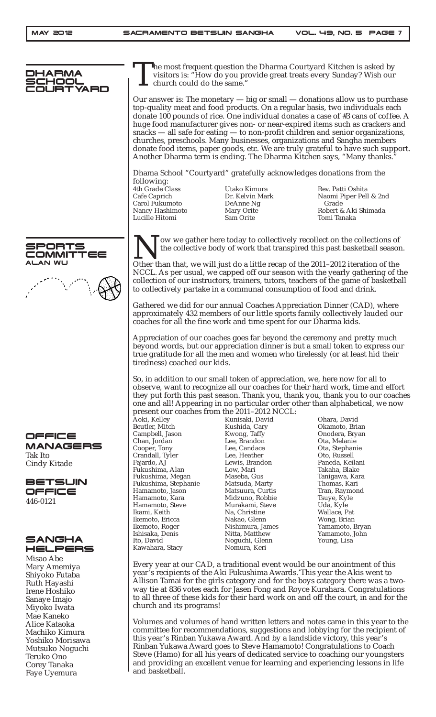Alice Kataoka Machiko Kimura Yoshiko Morisawa Mutsuko Noguchi Teruko Ono Corey Tanaka Faye Uyemura

| OHARMA<br>JRTYARD             | The most frequent question the Dharma Courtyard Kitchen is asked by<br>visitors is: "How do you provide great treats every Sunday? Wish our<br>church could do the same."<br>Our answer is: The monetary $-$ big or small $-$ donations allow us to purchase<br>top-quality meat and food products. On a regular basis, two individuals each<br>donate 100 pounds of rice. One individual donates a case of #3 cans of coffee. A<br>huge food manufacturer gives non- or near-expired items such as crackers and<br>snacks $-$ all safe for eating $-$ to non-profit children and senior organizations,<br>churches, preschools. Many businesses, organizations and Sangha members<br>donate food items, paper goods, etc. We are truly grateful to have such support.<br>Another Dharma term is ending. The Dharma Kitchen says, "Many thanks."<br>Dhama School "Courtyard" gratefully acknowledges donations from the |                                                                         |                                                                                                                                                                                                                                                                                                                                                    |  |  |
|-------------------------------|-------------------------------------------------------------------------------------------------------------------------------------------------------------------------------------------------------------------------------------------------------------------------------------------------------------------------------------------------------------------------------------------------------------------------------------------------------------------------------------------------------------------------------------------------------------------------------------------------------------------------------------------------------------------------------------------------------------------------------------------------------------------------------------------------------------------------------------------------------------------------------------------------------------------------|-------------------------------------------------------------------------|----------------------------------------------------------------------------------------------------------------------------------------------------------------------------------------------------------------------------------------------------------------------------------------------------------------------------------------------------|--|--|
|                               |                                                                                                                                                                                                                                                                                                                                                                                                                                                                                                                                                                                                                                                                                                                                                                                                                                                                                                                         |                                                                         |                                                                                                                                                                                                                                                                                                                                                    |  |  |
|                               |                                                                                                                                                                                                                                                                                                                                                                                                                                                                                                                                                                                                                                                                                                                                                                                                                                                                                                                         |                                                                         |                                                                                                                                                                                                                                                                                                                                                    |  |  |
|                               | following:<br>4th Grade Class<br>Cafe Caprich<br>Carol Fukumoto<br>Nancy Hashimoto<br>Lucille Hitomi                                                                                                                                                                                                                                                                                                                                                                                                                                                                                                                                                                                                                                                                                                                                                                                                                    | Utako Kimura<br>Dr. Kelvin Mark<br>DeAnne Ng<br>Mary Orite<br>Sam Orite | Rev. Patti Oshita<br>Naomi Piper Pell & 2nd<br>Grade<br>Robert & Aki Shimada<br>Tomi Tanaka                                                                                                                                                                                                                                                        |  |  |
| 5PORTS<br><b>JMMITTEE</b>     |                                                                                                                                                                                                                                                                                                                                                                                                                                                                                                                                                                                                                                                                                                                                                                                                                                                                                                                         |                                                                         | ow we gather here today to collectively recollect on the collections of<br>the collective body of work that transpired this past basketball season.                                                                                                                                                                                                |  |  |
| ALAN WU                       | Other than that, we will just do a little recap of the 2011-2012 iteration of the<br>NCCL. As per usual, we capped off our season with the yearly gathering of the<br>collection of our instructors, trainers, tutors, teachers of the game of basketball<br>to collectively partake in a communal consumption of food and drink.<br>Gathered we did for our annual Coaches Appreciation Dinner (CAD), where<br>approximately 432 members of our little sports family collectively lauded our<br>coaches for all the fine work and time spent for our Dharma kids.                                                                                                                                                                                                                                                                                                                                                      |                                                                         |                                                                                                                                                                                                                                                                                                                                                    |  |  |
|                               |                                                                                                                                                                                                                                                                                                                                                                                                                                                                                                                                                                                                                                                                                                                                                                                                                                                                                                                         |                                                                         |                                                                                                                                                                                                                                                                                                                                                    |  |  |
|                               | Appreciation of our coaches goes far beyond the ceremony and pretty much<br>beyond words, but our appreciation dinner is but a small token to express our<br>true gratitude for all the men and women who tirelessly (or at least hid their<br>tiredness) coached our kids.                                                                                                                                                                                                                                                                                                                                                                                                                                                                                                                                                                                                                                             |                                                                         |                                                                                                                                                                                                                                                                                                                                                    |  |  |
|                               | Aoki, Kelley                                                                                                                                                                                                                                                                                                                                                                                                                                                                                                                                                                                                                                                                                                                                                                                                                                                                                                            | present our coaches from the 2011-2012 NCCL:<br>Kunisaki, David         | So, in addition to our small token of appreciation, we, here now for all to<br>observe, want to recognize all our coaches for their hard work, time and effort<br>they put forth this past season. Thank you, thank you, thank you to our coaches<br>one and all! Appearing in no particular order other than alphabetical, we now<br>Ohara, David |  |  |
|                               | Beutler, Mitch<br>Campbell, Jason                                                                                                                                                                                                                                                                                                                                                                                                                                                                                                                                                                                                                                                                                                                                                                                                                                                                                       | Kushida, Cary<br>Kwong, Taffy                                           | Okamoto, Brian<br>Onodera, Bryan                                                                                                                                                                                                                                                                                                                   |  |  |
| OFFICE<br><b>MANAGERS</b>     | Chan, Jordan                                                                                                                                                                                                                                                                                                                                                                                                                                                                                                                                                                                                                                                                                                                                                                                                                                                                                                            | Lee, Brandon                                                            | Ota, Melanie                                                                                                                                                                                                                                                                                                                                       |  |  |
| Tak Ito                       | Cooper, Tony<br>Crandall, Tyler                                                                                                                                                                                                                                                                                                                                                                                                                                                                                                                                                                                                                                                                                                                                                                                                                                                                                         | Lee, Candace<br>Lee, Heather                                            | Ota, Stephanie<br>Oto, Russell                                                                                                                                                                                                                                                                                                                     |  |  |
| <b>Cindy Kitade</b>           | Fajardo, AJ                                                                                                                                                                                                                                                                                                                                                                                                                                                                                                                                                                                                                                                                                                                                                                                                                                                                                                             | Lewis, Brandon                                                          | Paneda, Keilani                                                                                                                                                                                                                                                                                                                                    |  |  |
|                               | Fukushima, Alan                                                                                                                                                                                                                                                                                                                                                                                                                                                                                                                                                                                                                                                                                                                                                                                                                                                                                                         | Low, Mari                                                               | Takaha, Blake                                                                                                                                                                                                                                                                                                                                      |  |  |
| <b>BETSUIN</b>                | Fukushima, Megan<br>Fukushima, Stephanie                                                                                                                                                                                                                                                                                                                                                                                                                                                                                                                                                                                                                                                                                                                                                                                                                                                                                | Maseba, Gus<br>Matsuda, Marty                                           | Tanigawa, Kara<br>Thomas, Kari                                                                                                                                                                                                                                                                                                                     |  |  |
| OFFICE                        | Hamamoto, Jason                                                                                                                                                                                                                                                                                                                                                                                                                                                                                                                                                                                                                                                                                                                                                                                                                                                                                                         | Matsuura, Curtis                                                        | Tran, Raymond                                                                                                                                                                                                                                                                                                                                      |  |  |
| 446-0121                      | Hamamoto, Kara<br>Hamamoto, Steve                                                                                                                                                                                                                                                                                                                                                                                                                                                                                                                                                                                                                                                                                                                                                                                                                                                                                       | Midzuno, Robbie<br>Murakami, Steve                                      | Tsuye, Kyle<br>Uda, Kyle                                                                                                                                                                                                                                                                                                                           |  |  |
|                               | Ikami, Keith                                                                                                                                                                                                                                                                                                                                                                                                                                                                                                                                                                                                                                                                                                                                                                                                                                                                                                            | Na, Christine                                                           | Wallace, Pat                                                                                                                                                                                                                                                                                                                                       |  |  |
|                               | Ikemoto, Ericca                                                                                                                                                                                                                                                                                                                                                                                                                                                                                                                                                                                                                                                                                                                                                                                                                                                                                                         | Nakao, Glenn                                                            | Wong, Brian                                                                                                                                                                                                                                                                                                                                        |  |  |
|                               | Ikemoto, Roger<br>Ishisaka, Denis                                                                                                                                                                                                                                                                                                                                                                                                                                                                                                                                                                                                                                                                                                                                                                                                                                                                                       | Nishimura, James<br>Nitta, Matthew                                      | Yamamoto, Bryan<br>Yamamoto, John                                                                                                                                                                                                                                                                                                                  |  |  |
| <b>SANGHA</b>                 | Ito, David                                                                                                                                                                                                                                                                                                                                                                                                                                                                                                                                                                                                                                                                                                                                                                                                                                                                                                              | Noguchi, Glenn                                                          | Young, Lisa                                                                                                                                                                                                                                                                                                                                        |  |  |
| HELPERS                       | Kawahara, Stacy                                                                                                                                                                                                                                                                                                                                                                                                                                                                                                                                                                                                                                                                                                                                                                                                                                                                                                         | Nomura, Keri                                                            |                                                                                                                                                                                                                                                                                                                                                    |  |  |
| Misao Abe                     |                                                                                                                                                                                                                                                                                                                                                                                                                                                                                                                                                                                                                                                                                                                                                                                                                                                                                                                         |                                                                         |                                                                                                                                                                                                                                                                                                                                                    |  |  |
| Mary Amemiya                  |                                                                                                                                                                                                                                                                                                                                                                                                                                                                                                                                                                                                                                                                                                                                                                                                                                                                                                                         |                                                                         | Every year at our CAD, a traditional event would be our anointment of this<br>year's recipients of the Aki Fukushima Awards. This year the Akis went to                                                                                                                                                                                            |  |  |
| Shiyoko Futaba                |                                                                                                                                                                                                                                                                                                                                                                                                                                                                                                                                                                                                                                                                                                                                                                                                                                                                                                                         |                                                                         |                                                                                                                                                                                                                                                                                                                                                    |  |  |
| Ruth Hayashi<br>Irene Hoshiko | Allison Tamai for the girls category and for the boys category there was a two-<br>way tie at 836 votes each for Jasen Fong and Royce Kurahara. Congratulations                                                                                                                                                                                                                                                                                                                                                                                                                                                                                                                                                                                                                                                                                                                                                         |                                                                         |                                                                                                                                                                                                                                                                                                                                                    |  |  |
| Sanaye Imajo                  | to all three of these kids for their hard work on and off the court, in and for the                                                                                                                                                                                                                                                                                                                                                                                                                                                                                                                                                                                                                                                                                                                                                                                                                                     |                                                                         |                                                                                                                                                                                                                                                                                                                                                    |  |  |
| Miyoko Iwata                  | church and its programs!                                                                                                                                                                                                                                                                                                                                                                                                                                                                                                                                                                                                                                                                                                                                                                                                                                                                                                |                                                                         |                                                                                                                                                                                                                                                                                                                                                    |  |  |
| Mae Kaneko                    |                                                                                                                                                                                                                                                                                                                                                                                                                                                                                                                                                                                                                                                                                                                                                                                                                                                                                                                         |                                                                         |                                                                                                                                                                                                                                                                                                                                                    |  |  |

Volumes and volumes of hand written letters and notes came in this year to the committee for recommendations, suggestions and lobbying for the recipient of this year's Rinban Yukawa Award. And by a landslide victory, this year's Rinban Yukawa Award goes to Steve Hamamoto! Congratulations to Coach Steve (Hamo) for all his years of dedicated service to coaching our youngsters and providing an excellent venue for learning and experiencing lessons in life and basketball.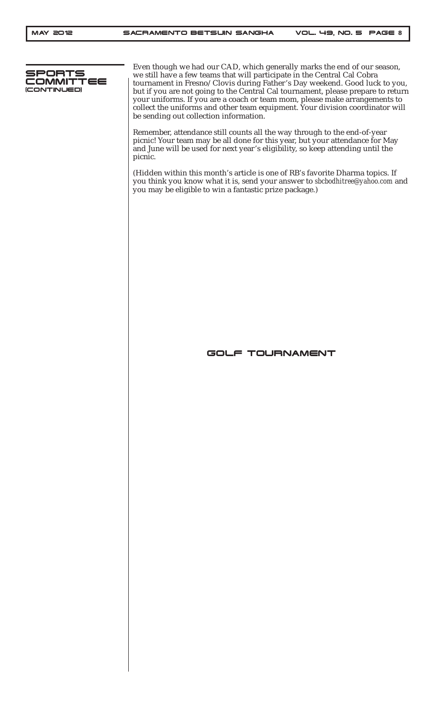

Even though we had our CAD, which generally marks the end of our season, we still have a few teams that will participate in the Central Cal Cobra tournament in Fresno/Clovis during Father's Day weekend. Good luck to you, but if you are not going to the Central Cal tournament, please prepare to return your uniforms. If you are a coach or team mom, please make arrangements to collect the uniforms and other team equipment. Your division coordinator will be sending out collection information.

Remember, attendance still counts all the way through to the end-of-year picnic! Your team may be all done for this year, but your attendance for May and June will be used for next year's eligibility, so keep attending until the picnic.

(Hidden within this month's article is one of RB's favorite Dharma topics. If you think you know what it is, send your answer to *sbcbodhitree@yahoo.com* and you may be eligible to win a fantastic prize package.)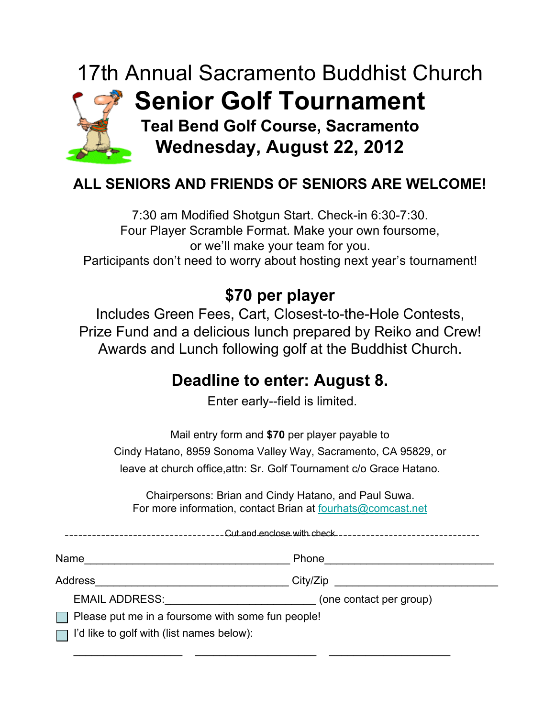## 17th Annual Sacramento Buddhist Church **Senior Golf Tournament Teal Bend Golf Course, Sacramento Wednesday, August 22, 2012**

## **ALL SENIORS AND FRIENDS OF SENIORS ARE WELCOME!**

7:30 am Modified Shotgun Start. Check-in 6:30-7:30. Four Player Scramble Format. Make your own foursome, or we'll make your team for you. Participants don't need to worry about hosting next year's tournament!

## **\$70 per player**

Includes Green Fees, Cart, Closest-to-the-Hole Contests, Prize Fund and a delicious lunch prepared by Reiko and Crew! Awards and Lunch following golf at the Buddhist Church.

## **Deadline to enter: August 8.**

Enter early--field is limited.

Mail entry form and **\$70** per player payable to Cindy Hatano, 8959 Sonoma Valley Way, Sacramento, CA 95829, or leave at church office,attn: Sr. Golf Tournament c/o Grace Hatano.

Chairpersons: Brian and Cindy Hatano, and Paul Suwa. For more information, contact Brian at fourhats@comcast.net

| Cut and enclose with check--------------------------<br>---------------------------- |                         |  |  |  |
|--------------------------------------------------------------------------------------|-------------------------|--|--|--|
| Name                                                                                 | Phone                   |  |  |  |
| Address                                                                              | City/Zip                |  |  |  |
| <b>EMAIL ADDRESS:</b>                                                                | (one contact per group) |  |  |  |
| Please put me in a foursome with some fun people!                                    |                         |  |  |  |
| $\Box$ I'd like to golf with (list names below):                                     |                         |  |  |  |

\_\_\_\_\_\_\_\_\_\_\_\_\_\_\_\_\_\_ \_\_\_\_\_\_\_\_\_\_\_\_\_\_\_\_\_\_\_\_ \_\_\_\_\_\_\_\_\_\_\_\_\_\_\_\_\_\_\_\_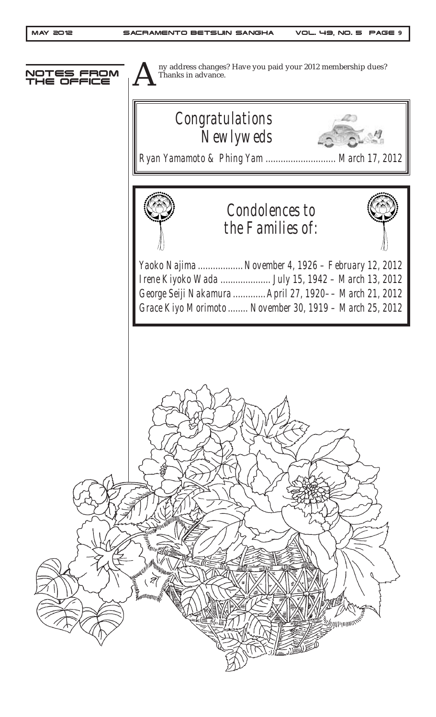